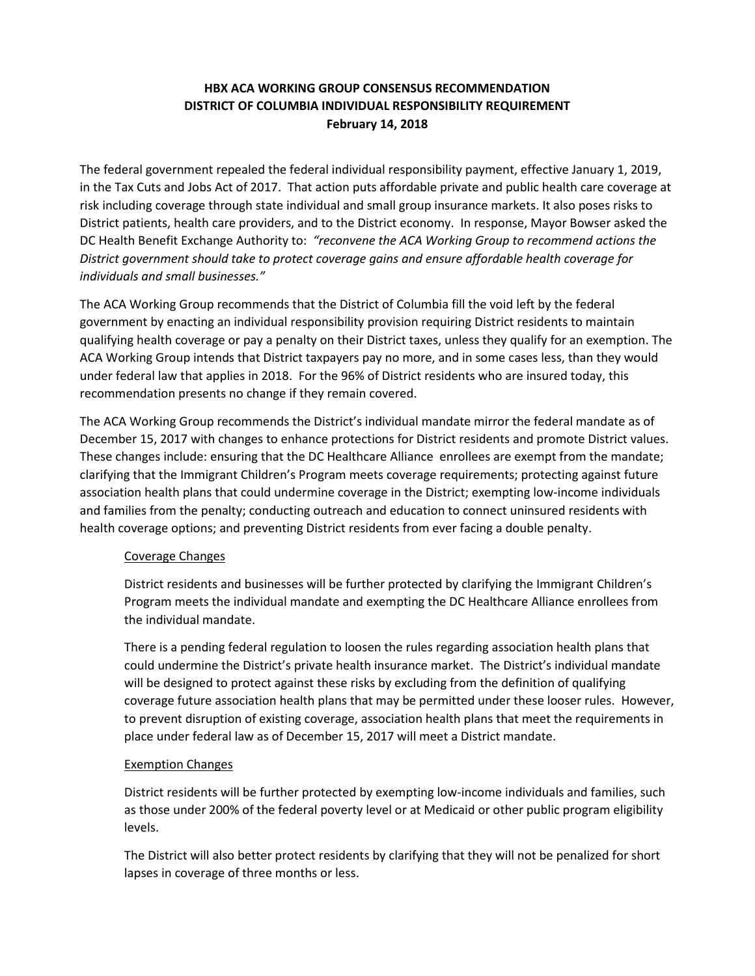# **HBX ACA WORKING GROUP CONSENSUS RECOMMENDATION DISTRICT OF COLUMBIA INDIVIDUAL RESPONSIBILITY REQUIREMENT February 14, 2018**

The federal government repealed the federal individual responsibility payment, effective January 1, 2019, in the Tax Cuts and Jobs Act of 2017. That action puts affordable private and public health care coverage at risk including coverage through state individual and small group insurance markets. It also poses risks to District patients, health care providers, and to the District economy. In response, Mayor Bowser asked the DC Health Benefit Exchange Authority to: *"reconvene the ACA Working Group to recommend actions the District government should take to protect coverage gains and ensure affordable health coverage for individuals and small businesses."*

The ACA Working Group recommends that the District of Columbia fill the void left by the federal government by enacting an individual responsibility provision requiring District residents to maintain qualifying health coverage or pay a penalty on their District taxes, unless they qualify for an exemption. The ACA Working Group intends that District taxpayers pay no more, and in some cases less, than they would under federal law that applies in 2018. For the 96% of District residents who are insured today, this recommendation presents no change if they remain covered.

The ACA Working Group recommends the District's individual mandate mirror the federal mandate as of December 15, 2017 with changes to enhance protections for District residents and promote District values. These changes include: ensuring that the DC Healthcare Alliance enrollees are exempt from the mandate; clarifying that the Immigrant Children's Program meets coverage requirements; protecting against future association health plans that could undermine coverage in the District; exempting low-income individuals and families from the penalty; conducting outreach and education to connect uninsured residents with health coverage options; and preventing District residents from ever facing a double penalty.

#### Coverage Changes

District residents and businesses will be further protected by clarifying the Immigrant Children's Program meets the individual mandate and exempting the DC Healthcare Alliance enrollees from the individual mandate.

There is a pending federal regulation to loosen the rules regarding association health plans that could undermine the District's private health insurance market. The District's individual mandate will be designed to protect against these risks by excluding from the definition of qualifying coverage future association health plans that may be permitted under these looser rules. However, to prevent disruption of existing coverage, association health plans that meet the requirements in place under federal law as of December 15, 2017 will meet a District mandate.

#### Exemption Changes

District residents will be further protected by exempting low-income individuals and families, such as those under 200% of the federal poverty level or at Medicaid or other public program eligibility levels.

The District will also better protect residents by clarifying that they will not be penalized for short lapses in coverage of three months or less.